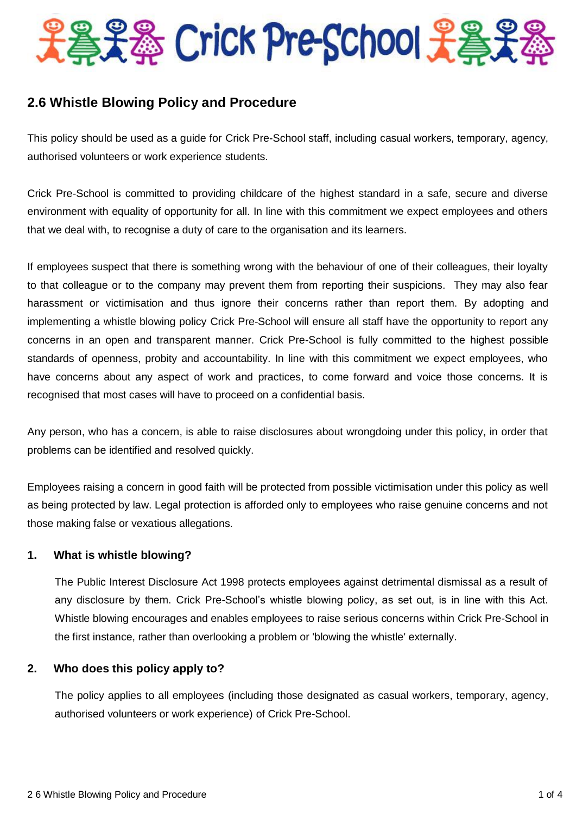

# **2.6 Whistle Blowing Policy and Procedure**

This policy should be used as a guide for Crick Pre-School staff, including casual workers, temporary, agency, authorised volunteers or work experience students.

Crick Pre-School is committed to providing childcare of the highest standard in a safe, secure and diverse environment with equality of opportunity for all. In line with this commitment we expect employees and others that we deal with, to recognise a duty of care to the organisation and its learners.

If employees suspect that there is something wrong with the behaviour of one of their colleagues, their loyalty to that colleague or to the company may prevent them from reporting their suspicions. They may also fear harassment or victimisation and thus ignore their concerns rather than report them. By adopting and implementing a whistle blowing policy Crick Pre-School will ensure all staff have the opportunity to report any concerns in an open and transparent manner. Crick Pre-School is fully committed to the highest possible standards of openness, probity and accountability. In line with this commitment we expect employees, who have concerns about any aspect of work and practices, to come forward and voice those concerns. It is recognised that most cases will have to proceed on a confidential basis.

Any person, who has a concern, is able to raise disclosures about wrongdoing under this policy, in order that problems can be identified and resolved quickly.

Employees raising a concern in good faith will be protected from possible victimisation under this policy as well as being protected by law. Legal protection is afforded only to employees who raise genuine concerns and not those making false or vexatious allegations.

## **1. What is whistle blowing?**

The Public Interest Disclosure Act 1998 protects employees against detrimental dismissal as a result of any disclosure by them. Crick Pre-School's whistle blowing policy, as set out, is in line with this Act. Whistle blowing encourages and enables employees to raise serious concerns within Crick Pre-School in the first instance, rather than overlooking a problem or 'blowing the whistle' externally.

## **2. Who does this policy apply to?**

The policy applies to all employees (including those designated as casual workers, temporary, agency, authorised volunteers or work experience) of Crick Pre-School.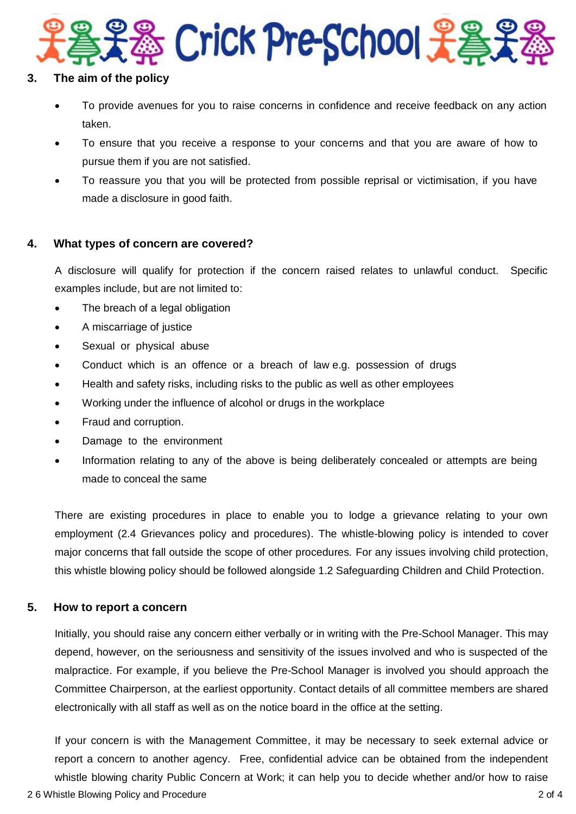

#### **3. The aim of the policy**

- To provide avenues for you to raise concerns in confidence and receive feedback on any action taken.
- To ensure that you receive a response to your concerns and that you are aware of how to pursue them if you are not satisfied.
- To reassure you that you will be protected from possible reprisal or victimisation, if you have made a disclosure in good faith.

### **4. What types of concern are covered?**

A disclosure will qualify for protection if the concern raised relates to unlawful conduct. Specific examples include, but are not limited to:

- The breach of a legal obligation
- A miscarriage of justice
- Sexual or physical abuse
- Conduct which is an offence or a breach of law e.g. possession of drugs
- Health and safety risks, including risks to the public as well as other employees
- Working under the influence of alcohol or drugs in the workplace
- Fraud and corruption.
- Damage to the environment
- Information relating to any of the above is being deliberately concealed or attempts are being made to conceal the same

There are existing procedures in place to enable you to lodge a grievance relating to your own employment (2.4 Grievances policy and procedures). The whistle-blowing policy is intended to cover major concerns that fall outside the scope of other procedures. For any issues involving child protection, this whistle blowing policy should be followed alongside 1.2 Safeguarding Children and Child Protection.

## **5. How to report a concern**

Initially, you should raise any concern either verbally or in writing with the Pre-School Manager. This may depend, however, on the seriousness and sensitivity of the issues involved and who is suspected of the malpractice. For example, if you believe the Pre-School Manager is involved you should approach the Committee Chairperson, at the earliest opportunity. Contact details of all committee members are shared electronically with all staff as well as on the notice board in the office at the setting.

If your concern is with the Management Committee, it may be necessary to seek external advice or report a concern to another agency. Free, confidential advice can be obtained from the independent whistle blowing charity Public Concern at Work; it can help you to decide whether and/or how to raise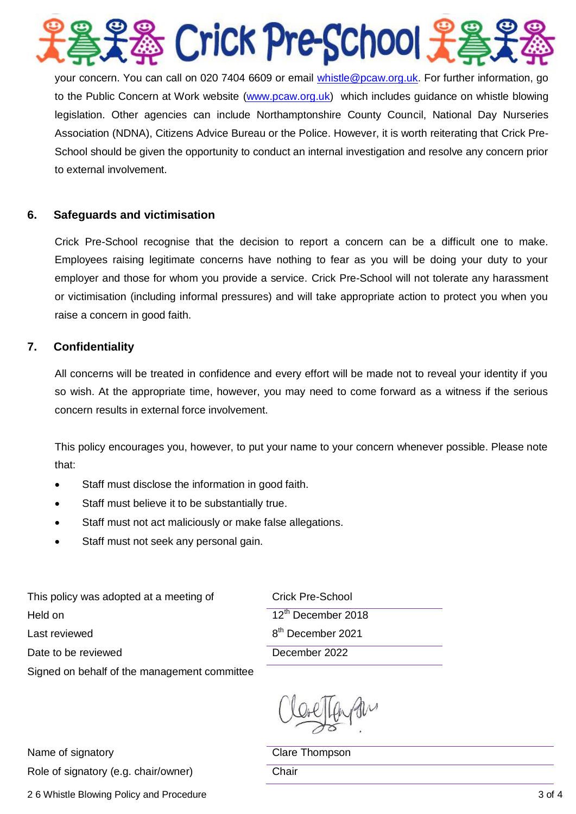

your concern. You can call on 020 7404 6609 or email *whistle@pcaw.org.uk*. For further information, go to the Public Concern at Work website [\(www.pcaw.org.uk\)](http://www.pcaw.org.uk/) which includes guidance on whistle blowing legislation. Other agencies can include Northamptonshire County Council, National Day Nurseries Association (NDNA), Citizens Advice Bureau or the Police. However, it is worth reiterating that Crick Pre-School should be given the opportunity to conduct an internal investigation and resolve any concern prior to external involvement.

## **6. Safeguards and victimisation**

Crick Pre-School recognise that the decision to report a concern can be a difficult one to make. Employees raising legitimate concerns have nothing to fear as you will be doing your duty to your employer and those for whom you provide a service. Crick Pre-School will not tolerate any harassment or victimisation (including informal pressures) and will take appropriate action to protect you when you raise a concern in good faith.

### **7. Confidentiality**

All concerns will be treated in confidence and every effort will be made not to reveal your identity if you so wish. At the appropriate time, however, you may need to come forward as a witness if the serious concern results in external force involvement.

This policy encourages you, however, to put your name to your concern whenever possible. Please note that:

- Staff must disclose the information in good faith.
- Staff must believe it to be substantially true.
- Staff must not act maliciously or make false allegations.
- Staff must not seek any personal gain.

This policy was adopted at a meeting of Crick Pre-School Held on Last reviewed Date to be reviewed December 2022

Signed on behalf of the management committee

12<sup>th</sup> December 2018 8 th December 2021

Name of signatory and the Clare Thompson Role of signatory (e.g. chair/owner) Chair

2 6 Whistle Blowing Policy and Procedure 3 of 4